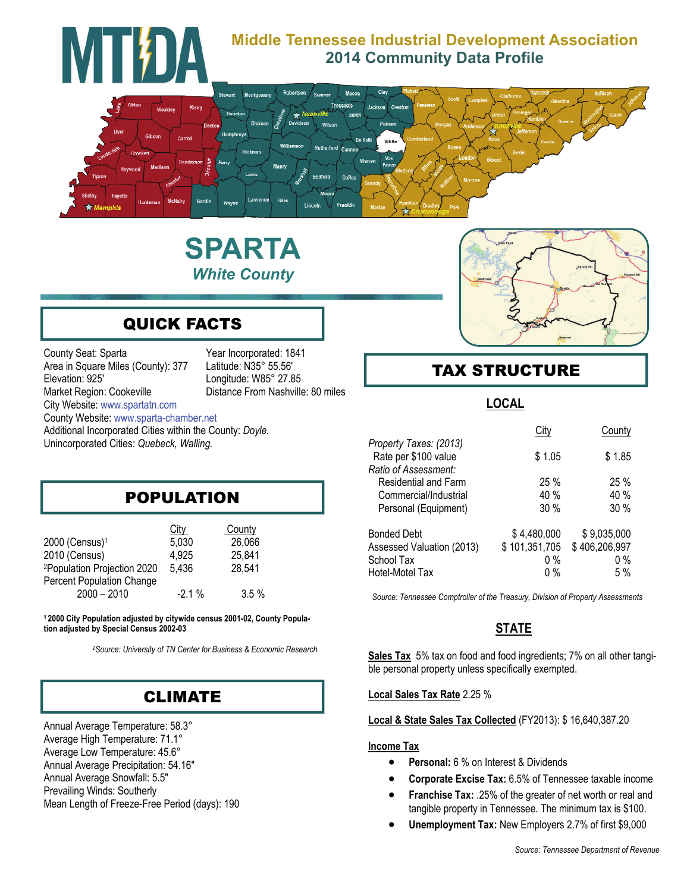

# **SPARTA**  *White County*



# QUICK FACTS

County Seat: Sparta Year Incorporated: 1841 Area in Square Miles (County): 377 Latitude: N35° 55.56' Elevation: 925' Longitude: W85° 27.85 Market Region: Cookeville **Distance From Nashville: 80 miles** City Website: [www.spartatn.com](http://www.spartatn.com) County Website: www.sparta-chamber.net Additional Incorporated Cities within the County: *Doyle.*  Unincorporated Cities: *Quebeck, Walling.* 

# POPULATION

|                                         | City     | County  |
|-----------------------------------------|----------|---------|
| 2000 (Census) <sup>1</sup>              | 5,030    | 26,066  |
| 2010 (Census)                           | 4,925    | 25,841  |
| <sup>2</sup> Population Projection 2020 | 5,436    | 28,541  |
| <b>Percent Population Change</b>        |          |         |
| $2000 - 2010$                           | $-2.1\%$ | $3.5\%$ |

**1 2000 City Population adjusted by citywide census 2001-02, County Population adjusted by Special Census 2002-03** 

*2Source: University of TN Center for Business & Economic Research* 

### CLIMATE

Annual Average Temperature: 58.3° Average High Temperature: 71.1° Average Low Temperature: 45.6° Annual Average Precipitation: 54.16" Annual Average Snowfall: 5.5" Prevailing Winds: Southerly Mean Length of Freeze-Free Period (days): 190

# TAX STRUCTURE

#### **LOCAL**

|                                                                        | City          | County        |
|------------------------------------------------------------------------|---------------|---------------|
| Property Taxes: (2013)<br>Rate per \$100 value<br>Ratio of Assessment: | \$1.05        | \$1.85        |
| Residential and Farm                                                   | 25%           | 25%           |
| Commercial/Industrial                                                  | 40 %          | 40 %          |
| Personal (Equipment)                                                   | 30%           | 30%           |
| <b>Bonded Debt</b>                                                     | \$4,480,000   | \$9,035,000   |
| Assessed Valuation (2013)                                              | \$101,351,705 | \$406,206,997 |
| School Tax                                                             | $0\%$         | $0\%$         |
| Hotel-Motel Tax                                                        | $0\%$         | 5%            |

*Source: Tennessee Comptroller of the Treasury, Division of Property Assessments* 

### **STATE**

**Sales Tax** 5% tax on food and food ingredients; 7% on all other tangible personal property unless specifically exempted.

#### **Local Sales Tax Rate** 2.25 %

#### **Local & State Sales Tax Collected** (FY2013): \$ 16,640,387.20

#### **Income Tax**

- **Personal:** 6 % on Interest & Dividends
- **Corporate Excise Tax:** 6.5% of Tennessee taxable income
- **Franchise Tax:** .25% of the greater of net worth or real and tangible property in Tennessee. The minimum tax is \$100.
- **Unemployment Tax:** New Employers 2.7% of first \$9,000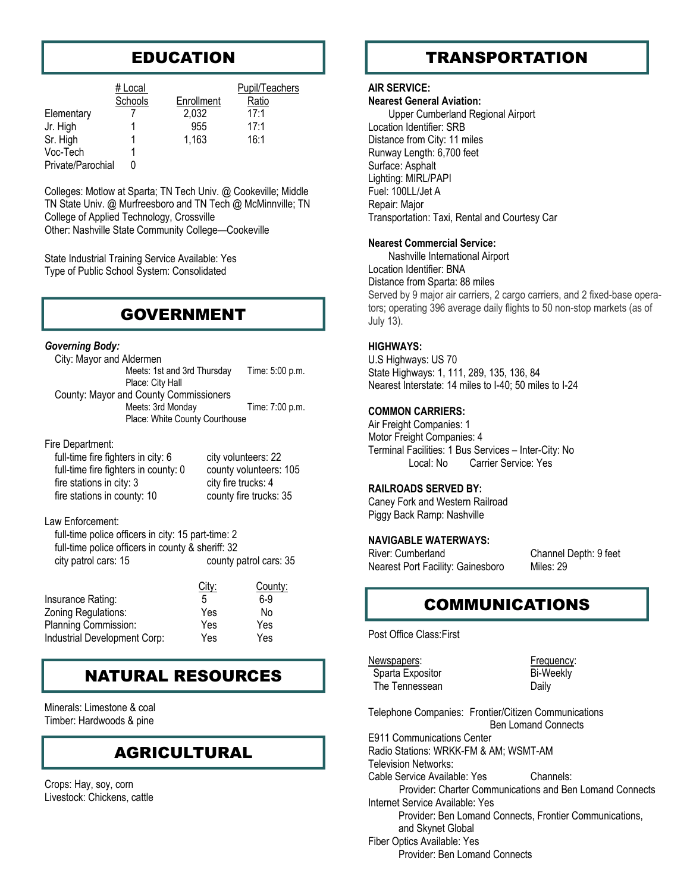# EDUCATION

|                   | # Local<br>Schools | Enrollment | Pupil/Teachers<br>Ratio |
|-------------------|--------------------|------------|-------------------------|
| Elementary        |                    | 2,032      | 17:1                    |
| Jr. High          |                    | 955        | 17:1                    |
| Sr. High          |                    | 1.163      | 16:1                    |
| Voc-Tech          |                    |            |                         |
| Private/Parochial |                    |            |                         |

Colleges: Motlow at Sparta; TN Tech Univ. @ Cookeville; Middle TN State Univ. @ Murfreesboro and TN Tech @ McMinnville; TN College of Applied Technology, Crossville Other: Nashville State Community College—Cookeville

State Industrial Training Service Available: Yes Type of Public School System: Consolidated

### GOVERNMENT

#### *Governing Body:*

| City: Mayor and Aldermen               |                 |  |
|----------------------------------------|-----------------|--|
| Meets: 1st and 3rd Thursday            | Time: 5:00 p.m. |  |
| Place: City Hall                       |                 |  |
| County: Mayor and County Commissioners |                 |  |
| Meets: 3rd Monday                      | Time: 7:00 p.m. |  |
| Place: White County Courthouse         |                 |  |
|                                        |                 |  |

#### Fire Department:

| full-time fire fighters in city: 6   | city volunteers: 22    |
|--------------------------------------|------------------------|
| full-time fire fighters in county: 0 | county volunteers: 105 |
| fire stations in city: 3             | city fire trucks: 4    |
| fire stations in county: 10          | county fire trucks: 35 |

#### Law Enforcement:

| full-time police officers in city: 15 part-time: 2 |                        |
|----------------------------------------------------|------------------------|
| full-time police officers in county & sheriff: 32  |                        |
| city patrol cars: 15                               | county patrol cars: 35 |

| City: | County: |
|-------|---------|
| 5     | 6-9     |
| Yes   | No      |
| Yes   | Yes     |
| Yes   | Yes     |
|       |         |

# NATURAL RESOURCES

Minerals: Limestone & coal Timber: Hardwoods & pine

### AGRICULTURAL

Crops: Hay, soy, corn Livestock: Chickens, cattle

# **TRANSPORTATION**

#### **AIR SERVICE:**

#### **Nearest General Aviation:**

 Upper Cumberland Regional Airport Location Identifier: SRB Distance from City: 11 miles Runway Length: 6,700 feet Surface: Asphalt Lighting: MIRL/PAPI Fuel: 100LL/Jet A Repair: Major Transportation: Taxi, Rental and Courtesy Car

#### **Nearest Commercial Service:**

 Nashville International Airport Location Identifier: BNA Distance from Sparta: 88 miles Served by 9 major air carriers, 2 cargo carriers, and 2 fixed-base operators; operating 396 average daily flights to 50 non-stop markets (as of July 13).

#### **HIGHWAYS:**

U.S Highways: US 70 State Highways: 1, 111, 289, 135, 136, 84 Nearest Interstate: 14 miles to I-40; 50 miles to I-24

#### **COMMON CARRIERS:**

Air Freight Companies: 1 Motor Freight Companies: 4 Terminal Facilities: 1 Bus Services – Inter-City: No Local: No Carrier Service: Yes

#### **RAILROADS SERVED BY:**

Caney Fork and Western Railroad Piggy Back Ramp: Nashville

#### **NAVIGABLE WATERWAYS:**

River: Cumberland Channel Depth: 9 feet Nearest Port Facility: Gainesboro Miles: 29

### COMMUNICATIONS

Post Office Class:First

Newspapers: Newspapers: Frequency: Sparta Expositor Bi-Weekly The Tennessean Daily

Telephone Companies: Frontier/Citizen Communications Ben Lomand Connects

E911 Communications Center Radio Stations: WRKK-FM & AM; WSMT-AM Television Networks: Cable Service Available: Yes Channels: Provider: Charter Communications and Ben Lomand Connects Internet Service Available: Yes Provider: Ben Lomand Connects, Frontier Communications, and Skynet Global Fiber Optics Available: Yes Provider: Ben Lomand Connects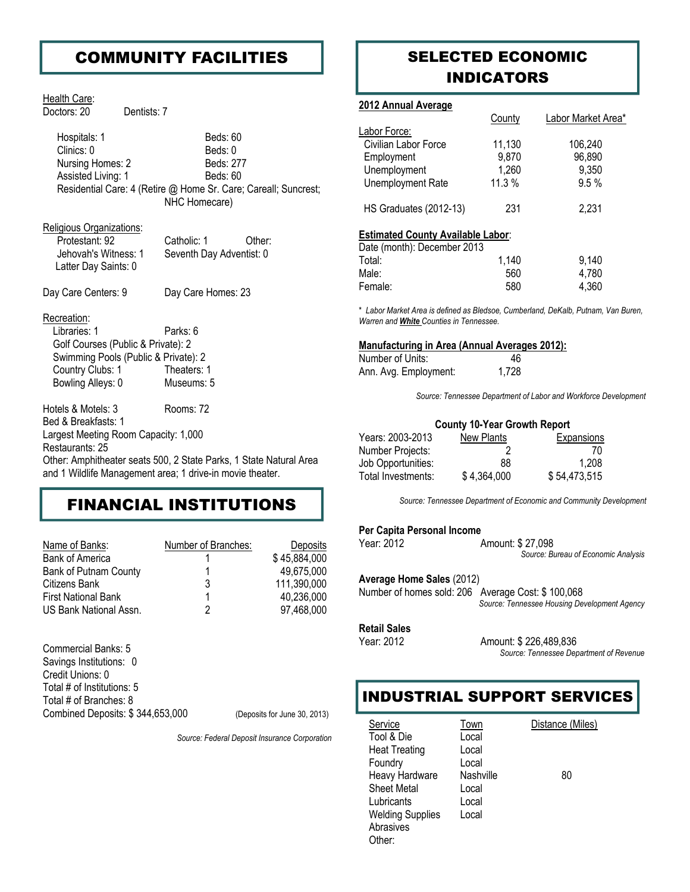### COMMUNITY FACILITIES

#### Health Care:

Doctors: 20 Dentists: 7

Hospitals: 1 Beds: 60 Clinics: 0 Beds: 0 Nursing Homes: 2 Beds: 277 Assisted Living: 1 Beds: 60 Residential Care: 4 (Retire @ Home Sr. Care; Careall; Suncrest; NHC Homecare)

#### Religious Organizations:

| Protestant: 92       | Catholic: 1              | Other: |
|----------------------|--------------------------|--------|
| Jehovah's Witness: 1 | Seventh Day Adventist: 0 |        |
| Latter Day Saints: 0 |                          |        |

Day Care Centers: 9 Day Care Homes: 23

#### Recreation:

| Libraries: 1                         | Parks: 6    |
|--------------------------------------|-------------|
| Golf Courses (Public & Private): 2   |             |
| Swimming Pools (Public & Private): 2 |             |
| Country Clubs: 1                     | Theaters: 1 |
| Bowling Alleys: 0                    | Museums: 5  |

Hotels & Motels: 3 Rooms: 72

Bed & Breakfasts: 1 Largest Meeting Room Capacity: 1,000 Restaurants: 25

Other: Amphitheater seats 500, 2 State Parks, 1 State Natural Area and 1 Wildlife Management area; 1 drive-in movie theater.

### FINANCIAL INSTITUTIONS

| Name of Banks:               | Number of Branches: | Deposits     |
|------------------------------|---------------------|--------------|
| <b>Bank of America</b>       |                     | \$45,884,000 |
| <b>Bank of Putnam County</b> |                     | 49,675,000   |
| Citizens Bank                | 3                   | 111,390,000  |
| <b>First National Bank</b>   |                     | 40,236,000   |
| US Bank National Assn.       |                     | 97,468,000   |

Commercial Banks: 5 Savings Institutions: 0 Credit Unions: 0 Total # of Institutions: 5 Total # of Branches: 8 Combined Deposits: \$ 344,653,000 (Deposits for June 30, 2013)

*Source: Federal Deposit Insurance Corporation* 

### SELECTED ECONOMIC INDICATORS

#### **2012 Annual Average**

|                                          | County   | Labor Market Area* |
|------------------------------------------|----------|--------------------|
| Labor Force:                             |          |                    |
| Civilian Labor Force                     | 11,130   | 106,240            |
| Employment                               | 9,870    | 96,890             |
| Unemployment                             | 1,260    | 9,350              |
| Unemployment Rate                        | $11.3\%$ | 9.5%               |
| <b>HS Graduates (2012-13)</b>            | 231      | 2,231              |
| <b>Estimated County Available Labor:</b> |          |                    |
| Date (month): December 2013              |          |                    |
| Total:                                   | 1,140    | 9,140              |
| Male:                                    | 560      | 4,780              |
| Female:                                  | 580      | 4,360              |

\* *Labor Market Area is defined as Bledsoe, Cumberland, DeKalb, Putnam, Van Buren, Warren and White Counties in Tennessee.*

#### **Manufacturing in Area (Annual Averages 2012):**

| Number of Units:      | 46    |
|-----------------------|-------|
| Ann. Avg. Employment: | 1,728 |

*Source: Tennessee Department of Labor and Workforce Development* 

#### **County 10-Year Growth Report**

| Years: 2003-2013   | New Plants  | Expansions   |
|--------------------|-------------|--------------|
| Number Projects:   |             | 70           |
| Job Opportunities: | 88          | 1.208        |
| Total Investments: | \$4,364,000 | \$54,473,515 |

*Source: Tennessee Department of Economic and Community Development* 

#### **Per Capita Personal Income**

Year: 2012 **Amount: \$27,098** 

*Source: Bureau of Economic Analysis* 

#### **Average Home Sales** (2012)

Number of homes sold: 206 Average Cost: \$ 100,068 *Source: Tennessee Housing Development Agency* 

#### **Retail Sales**

Year: 2012 Amount: \$ 226,489,836 *Source: Tennessee Department of Revenue* 

### INDUSTRIAL SUPPORT SERVICES

Service Town Distance (Miles) Tool & Die Local Heat Treating Local Foundry Local Heavy Hardware Nashville 80 Sheet Metal Local Lubricants Local Welding Supplies Local Abrasives Other: